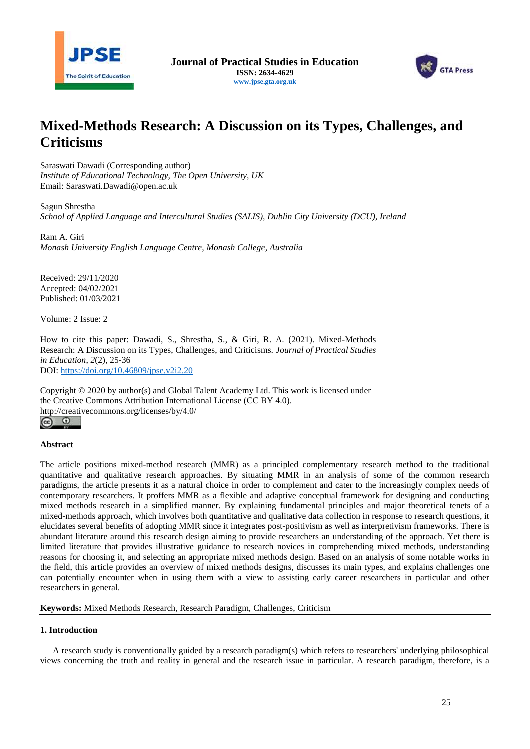



# **Mixed-Methods Research: A Discussion on its Types, Challenges, and Criticisms**

Saraswati Dawadi (Corresponding author) *Institute of Educational Technology, The Open University, UK* Email: [Saraswati.Dawadi@open.ac.uk](mailto:Saraswati.Dawadi@open.ac.uk)

Sagun Shrestha *School of Applied Language and Intercultural Studies (SALIS), Dublin City University (DCU), Ireland* 

Ram A. Giri *Monash University English Language Centre, Monash College, Australia*

Received: 29/11/2020 Accepted: 04/02/2021 Published: 01/03/2021

Volume: 2 Issue: 2

How to cite this paper: Dawadi, S., Shrestha, S., & Giri, R. A. (2021). Mixed-Methods Research: A Discussion on its Types, Challenges, and Criticisms. *Journal of Practical Studies in Education*, *2*(2), 25-36 DOI:<https://doi.org/10.46809/jpse.v2i2.20>

Copyright © 2020 by author(s) and Global Talent Academy Ltd. This work is licensed under the Creative Commons Attribution International License (CC BY 4.0). http://creativecommons.org/licenses/by/4.0/

# $(c)$  $\odot$

# **Abstract**

The article positions mixed-method research (MMR) as a principled complementary research method to the traditional quantitative and qualitative research approaches. By situating MMR in an analysis of some of the common research paradigms, the article presents it as a natural choice in order to complement and cater to the increasingly complex needs of contemporary researchers. It proffers MMR as a flexible and adaptive conceptual framework for designing and conducting mixed methods research in a simplified manner. By explaining fundamental principles and major theoretical tenets of a mixed-methods approach, which involves both quantitative and qualitative data collection in response to research questions, it elucidates several benefits of adopting MMR since it integrates post-positivism as well as interpretivism frameworks. There is abundant literature around this research design aiming to provide researchers an understanding of the approach. Yet there is limited literature that provides illustrative guidance to research novices in comprehending mixed methods, understanding reasons for choosing it, and selecting an appropriate mixed methods design. Based on an analysis of some notable works in the field, this article provides an overview of mixed methods designs, discusses its main types, and explains challenges one can potentially encounter when in using them with a view to assisting early career researchers in particular and other researchers in general.

**Keywords:** Mixed Methods Research, Research Paradigm, Challenges, Criticism

# **1. Introduction**

A research study is conventionally guided by a research paradigm(s) which refers to researchers' underlying philosophical views concerning the truth and reality in general and the research issue in particular. A research paradigm, therefore, is a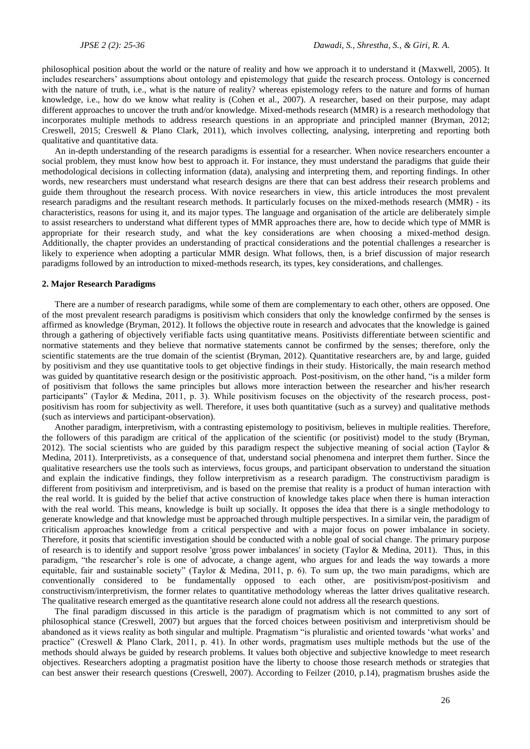philosophical position about the world or the nature of reality and how we approach it to understand it (Maxwell, 2005). It includes researchers' assumptions about ontology and epistemology that guide the research process. Ontology is concerned with the nature of truth, i.e., what is the nature of reality? whereas epistemology refers to the nature and forms of human knowledge, i.e., how do we know what reality is (Cohen et al., 2007). A researcher, based on their purpose, may adapt different approaches to uncover the truth and/or knowledge. Mixed-methods research (MMR) is a research methodology that incorporates multiple methods to address research questions in an appropriate and principled manner (Bryman, 2012; Creswell, 2015; Creswell & Plano Clark, 2011), which involves collecting, analysing, interpreting and reporting both qualitative and quantitative data.

An in-depth understanding of the research paradigms is essential for a researcher. When novice researchers encounter a social problem, they must know how best to approach it. For instance, they must understand the paradigms that guide their methodological decisions in collecting information (data), analysing and interpreting them, and reporting findings. In other words, new researchers must understand what research designs are there that can best address their research problems and guide them throughout the research process. With novice researchers in view, this article introduces the most prevalent research paradigms and the resultant research methods. It particularly focuses on the mixed-methods research (MMR) - its characteristics, reasons for using it, and its major types. The language and organisation of the article are deliberately simple to assist researchers to understand what different types of MMR approaches there are, how to decide which type of MMR is appropriate for their research study, and what the key considerations are when choosing a mixed-method design. Additionally, the chapter provides an understanding of practical considerations and the potential challenges a researcher is likely to experience when adopting a particular MMR design. What follows, then, is a brief discussion of major research paradigms followed by an introduction to mixed-methods research, its types, key considerations, and challenges.

### **2. Major Research Paradigms**

There are a number of research paradigms, while some of them are complementary to each other, others are opposed. One of the most prevalent research paradigms is positivism which considers that only the knowledge confirmed by the senses is affirmed as knowledge (Bryman, 2012). It follows the objective route in research and advocates that the knowledge is gained through a gathering of objectively verifiable facts using quantitative means. Positivists differentiate between scientific and normative statements and they believe that normative statements cannot be confirmed by the senses; therefore, only the scientific statements are the true domain of the scientist (Bryman, 2012). Quantitative researchers are, by and large, guided by positivism and they use quantitative tools to get objective findings in their study. Historically, the main research method was guided by quantitative research design or the positivistic approach. Post-positivism, on the other hand, "is a milder form of positivism that follows the same principles but allows more interaction between the researcher and his/her research participants" (Taylor & Medina, 2011, p. 3). While positivism focuses on the objectivity of the research process, postpositivism has room for subjectivity as well. Therefore, it uses both quantitative (such as a survey) and qualitative methods (such as interviews and participant-observation).

Another paradigm, interpretivism, with a contrasting epistemology to positivism, believes in multiple realities. Therefore, the followers of this paradigm are critical of the application of the scientific (or positivist) model to the study (Bryman, 2012). The social scientists who are guided by this paradigm respect the subjective meaning of social action (Taylor  $\&$ Medina, 2011). Interpretivists, as a consequence of that, understand social phenomena and interpret them further. Since the qualitative researchers use the tools such as interviews, focus groups, and participant observation to understand the situation and explain the indicative findings, they follow interpretivism as a research paradigm. The constructivism paradigm is different from positivism and interpretivism, and is based on the premise that reality is a product of human interaction with the real world. It is guided by the belief that active construction of knowledge takes place when there is human interaction with the real world. This means, knowledge is built up socially. It opposes the idea that there is a single methodology to generate knowledge and that knowledge must be approached through multiple perspectives. In a similar vein, the paradigm of criticalism approaches knowledge from a critical perspective and with a major focus on power imbalance in society. Therefore, it posits that scientific investigation should be conducted with a noble goal of social change. The primary purpose of research is to identify and support resolve 'gross power imbalances' in society (Taylor & Medina, 2011). Thus, in this paradigm, "the researcher's role is one of advocate, a change agent, who argues for and leads the way towards a more equitable, fair and sustainable society" (Taylor & Medina, 2011, p. 6). To sum up, the two main paradigms, which are conventionally considered to be fundamentally opposed to each other, are positivism/post-positivism and constructivism/interpretivism, the former relates to quantitative methodology whereas the latter drives qualitative research. The qualitative research emerged as the quantitative research alone could not address all the research questions.

The final paradigm discussed in this article is the paradigm of pragmatism which is not committed to any sort of philosophical stance (Creswell, 2007) but argues that the forced choices between positivism and interpretivism should be abandoned as it views reality as both singular and multiple. Pragmatism "is pluralistic and oriented towards 'what works' and practice" (Creswell & Plano Clark, 2011, p. 41). In other words, pragmatism uses multiple methods but the use of the methods should always be guided by research problems. It values both objective and subjective knowledge to meet research objectives. Researchers adopting a pragmatist position have the liberty to choose those research methods or strategies that can best answer their research questions (Creswell, 2007). According to Feilzer (2010, p.14), pragmatism brushes aside the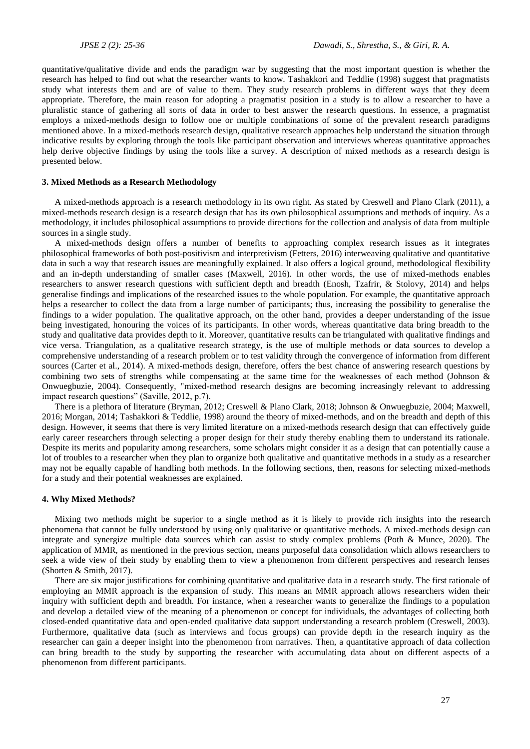quantitative/qualitative divide and ends the paradigm war by suggesting that the most important question is whether the research has helped to find out what the researcher wants to know. Tashakkori and Teddlie (1998) suggest that pragmatists study what interests them and are of value to them. They study research problems in different ways that they deem appropriate. Therefore, the main reason for adopting a pragmatist position in a study is to allow a researcher to have a pluralistic stance of gathering all sorts of data in order to best answer the research questions. In essence, a pragmatist employs a mixed-methods design to follow one or multiple combinations of some of the prevalent research paradigms mentioned above. In a mixed-methods research design, qualitative research approaches help understand the situation through indicative results by exploring through the tools like participant observation and interviews whereas quantitative approaches help derive objective findings by using the tools like a survey. A description of mixed methods as a research design is presented below.

### **3. Mixed Methods as a Research Methodology**

A mixed-methods approach is a research methodology in its own right. As stated by Creswell and Plano Clark (2011), a mixed-methods research design is a research design that has its own philosophical assumptions and methods of inquiry. As a methodology, it includes philosophical assumptions to provide directions for the collection and analysis of data from multiple sources in a single study.

A mixed-methods design offers a number of benefits to approaching complex research issues as it integrates philosophical frameworks of both post-positivism and interpretivism (Fetters, 2016) interweaving qualitative and quantitative data in such a way that research issues are meaningfully explained. It also offers a logical ground, methodological flexibility and an in-depth understanding of smaller cases (Maxwell, 2016). In other words, the use of mixed-methods enables researchers to answer research questions with sufficient depth and breadth (Enosh, Tzafrir, & Stolovy, 2014) and helps generalise findings and implications of the researched issues to the whole population. For example, the quantitative approach helps a researcher to collect the data from a large number of participants; thus, increasing the possibility to generalise the findings to a wider population. The qualitative approach, on the other hand, provides a deeper understanding of the issue being investigated, honouring the voices of its participants. In other words, whereas quantitative data bring breadth to the study and qualitative data provides depth to it. Moreover, quantitative results can be triangulated with qualitative findings and vice versa. Triangulation, as a qualitative research strategy, is the use of multiple methods or data sources to develop a comprehensive understanding of a research problem or to test validity through the convergence of information from different sources (Carter et al., 2014). A mixed-methods design, therefore, offers the best chance of answering research questions by combining two sets of strengths while compensating at the same time for the weaknesses of each method (Johnson & Onwuegbuzie, 2004). Consequently, "mixed-method research designs are becoming increasingly relevant to addressing impact research questions" (Saville, 2012, p.7).

There is a plethora of literature (Bryman, 2012; Creswell & Plano Clark, 2018; Johnson & Onwuegbuzie, 2004; Maxwell, 2016; Morgan, 2014; Tashakkori & Teddlie, 1998) around the theory of mixed-methods, and on the breadth and depth of this design. However, it seems that there is very limited literature on a mixed-methods research design that can effectively guide early career researchers through selecting a proper design for their study thereby enabling them to understand its rationale. Despite its merits and popularity among researchers, some scholars might consider it as a design that can potentially cause a lot of troubles to a researcher when they plan to organize both qualitative and quantitative methods in a study as a researcher may not be equally capable of handling both methods. In the following sections, then, reasons for selecting mixed-methods for a study and their potential weaknesses are explained.

### **4. Why Mixed Methods?**

Mixing two methods might be superior to a single method as it is likely to provide rich insights into the research phenomena that cannot be fully understood by using only qualitative or quantitative methods. A mixed-methods design can integrate and synergize multiple data sources which can assist to study complex problems (Poth & Munce, 2020). The application of MMR, as mentioned in the previous section, means purposeful data consolidation which allows researchers to seek a wide view of their study by enabling them to view a phenomenon from different perspectives and research lenses (Shorten & Smith, 2017).

There are six major justifications for combining quantitative and qualitative data in a research study. The first rationale of employing an MMR approach is the expansion of study. This means an MMR approach allows researchers widen their inquiry with sufficient depth and breadth. For instance, when a researcher wants to generalize the findings to a population and develop a detailed view of the meaning of a phenomenon or concept for individuals, the advantages of collecting both closed-ended quantitative data and open-ended qualitative data support understanding a research problem (Creswell, 2003). Furthermore, qualitative data (such as interviews and focus groups) can provide depth in the research inquiry as the researcher can gain a deeper insight into the phenomenon from narratives. Then, a quantitative approach of data collection can bring breadth to the study by supporting the researcher with accumulating data about on different aspects of a phenomenon from different participants.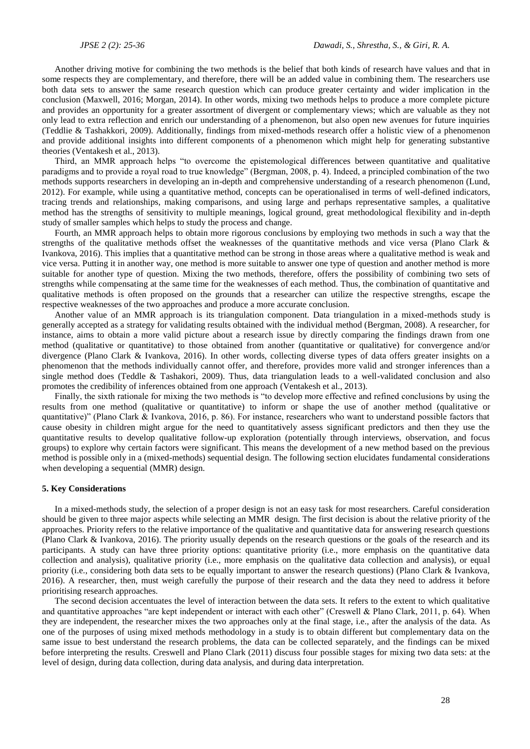Another driving motive for combining the two methods is the belief that both kinds of research have values and that in some respects they are complementary, and therefore, there will be an added value in combining them. The researchers use both data sets to answer the same research question which can produce greater certainty and wider implication in the conclusion (Maxwell, 2016; Morgan, 2014). In other words, mixing two methods helps to produce a more complete picture and provides an opportunity for a greater assortment of divergent or complementary views; which are valuable as they not only lead to extra reflection and enrich our understanding of a phenomenon, but also open new avenues for future inquiries (Teddlie & Tashakkori, 2009). Additionally, findings from mixed-methods research offer a holistic view of a phenomenon and provide additional insights into different components of a phenomenon which might help for generating substantive theories (Ventakesh et al., 2013).

Third, an MMR approach helps "to overcome the epistemological differences between quantitative and qualitative paradigms and to provide a royal road to true knowledge" (Bergman, 2008, p. 4). Indeed, a principled combination of the two methods supports researchers in developing an in-depth and comprehensive understanding of a research phenomenon (Lund, 2012). For example, while using a quantitative method, concepts can be operationalised in terms of well-defined indicators, tracing trends and relationships, making comparisons, and using large and perhaps representative samples, a qualitative method has the strengths of sensitivity to multiple meanings, logical ground, great methodological flexibility and in-depth study of smaller samples which helps to study the process and change.

Fourth, an MMR approach helps to obtain more rigorous conclusions by employing two methods in such a way that the strengths of the qualitative methods offset the weaknesses of the quantitative methods and vice versa (Plano Clark & Ivankova, 2016). This implies that a quantitative method can be strong in those areas where a qualitative method is weak and vice versa. Putting it in another way, one method is more suitable to answer one type of question and another method is more suitable for another type of question. Mixing the two methods, therefore, offers the possibility of combining two sets of strengths while compensating at the same time for the weaknesses of each method. Thus, the combination of quantitative and qualitative methods is often proposed on the grounds that a researcher can utilize the respective strengths, escape the respective weaknesses of the two approaches and produce a more accurate conclusion.

Another value of an MMR approach is its triangulation component. Data triangulation in a mixed-methods study is generally accepted as a strategy for validating results obtained with the individual method (Bergman, 2008). A researcher, for instance, aims to obtain a more valid picture about a research issue by directly comparing the findings drawn from one method (qualitative or quantitative) to those obtained from another (quantitative or qualitative) for convergence and/or divergence (Plano Clark & Ivankova, 2016). In other words, collecting diverse types of data offers greater insights on a phenomenon that the methods individually cannot offer, and therefore, provides more valid and stronger inferences than a single method does (Teddle & Tashakori, 2009). Thus, data triangulation leads to a well-validated conclusion and also promotes the credibility of inferences obtained from one approach (Ventakesh et al., 2013).

Finally, the sixth rationale for mixing the two methods is "to develop more effective and refined conclusions by using the results from one method (qualitative or quantitative) to inform or shape the use of another method (qualitative or quantitative)" (Plano Clark & Ivankova, 2016, p. 86). For instance, researchers who want to understand possible factors that cause obesity in children might argue for the need to quantitatively assess significant predictors and then they use the quantitative results to develop qualitative follow-up exploration (potentially through interviews, observation, and focus groups) to explore why certain factors were significant. This means the development of a new method based on the previous method is possible only in a (mixed-methods) sequential design. The following section elucidates fundamental considerations when developing a sequential (MMR) design.

### **5. Key Considerations**

In a mixed-methods study, the selection of a proper design is not an easy task for most researchers. Careful consideration should be given to three major aspects while selecting an MMR design. The first decision is about the relative priority of the approaches. Priority refers to the relative importance of the qualitative and quantitative data for answering research questions (Plano Clark & Ivankova, 2016). The priority usually depends on the research questions or the goals of the research and its participants. A study can have three priority options: quantitative priority (i.e., more emphasis on the quantitative data collection and analysis), qualitative priority (i.e., more emphasis on the qualitative data collection and analysis), or equal priority (i.e., considering both data sets to be equally important to answer the research questions) (Plano Clark & Ivankova, 2016). A researcher, then, must weigh carefully the purpose of their research and the data they need to address it before prioritising research approaches.

The second decision accentuates the level of interaction between the data sets. It refers to the extent to which qualitative and quantitative approaches "are kept independent or interact with each other" (Creswell & Plano Clark, 2011, p. 64). When they are independent, the researcher mixes the two approaches only at the final stage, i.e., after the analysis of the data. As one of the purposes of using mixed methods methodology in a study is to obtain different but complementary data on the same issue to best understand the research problems, the data can be collected separately, and the findings can be mixed before interpreting the results. Creswell and Plano Clark (2011) discuss four possible stages for mixing two data sets: at the level of design, during data collection, during data analysis, and during data interpretation.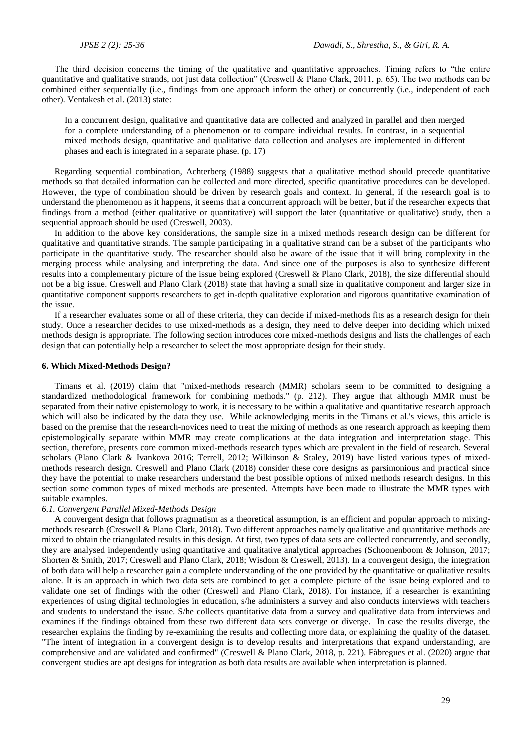The third decision concerns the timing of the qualitative and quantitative approaches. Timing refers to "the entire quantitative and qualitative strands, not just data collection" (Creswell & Plano Clark, 2011, p. 65). The two methods can be combined either sequentially (i.e., findings from one approach inform the other) or concurrently (i.e., independent of each other). Ventakesh et al. (2013) state:

In a concurrent design, qualitative and quantitative data are collected and analyzed in parallel and then merged for a complete understanding of a phenomenon or to compare individual results. In contrast, in a sequential mixed methods design, quantitative and qualitative data collection and analyses are implemented in different phases and each is integrated in a separate phase. (p. 17)

Regarding sequential combination, Achterberg (1988) suggests that a qualitative method should precede quantitative methods so that detailed information can be collected and more directed, specific quantitative procedures can be developed. However, the type of combination should be driven by research goals and context. In general, if the research goal is to understand the phenomenon as it happens, it seems that a concurrent approach will be better, but if the researcher expects that findings from a method (either qualitative or quantitative) will support the later (quantitative or qualitative) study, then a sequential approach should be used (Creswell, 2003).

In addition to the above key considerations, the sample size in a mixed methods research design can be different for qualitative and quantitative strands. The sample participating in a qualitative strand can be a subset of the participants who participate in the quantitative study. The researcher should also be aware of the issue that it will bring complexity in the merging process while analysing and interpreting the data. And since one of the purposes is also to synthesize different results into a complementary picture of the issue being explored (Creswell & Plano Clark, 2018), the size differential should not be a big issue. Creswell and Plano Clark (2018) state that having a small size in qualitative component and larger size in quantitative component supports researchers to get in-depth qualitative exploration and rigorous quantitative examination of the issue.

If a researcher evaluates some or all of these criteria, they can decide if mixed-methods fits as a research design for their study. Once a researcher decides to use mixed-methods as a design, they need to delve deeper into deciding which mixed methods design is appropriate. The following section introduces core mixed-methods designs and lists the challenges of each design that can potentially help a researcher to select the most appropriate design for their study.

### **6. Which Mixed-Methods Design?**

Timans et al. (2019) claim that "mixed-methods research (MMR) scholars seem to be committed to designing a standardized methodological framework for combining methods." (p. 212). They argue that although MMR must be separated from their native epistemology to work, it is necessary to be within a qualitative and quantitative research approach which will also be indicated by the data they use. While acknowledging merits in the Timans et al.'s views, this article is based on the premise that the research-novices need to treat the mixing of methods as one research approach as keeping them epistemologically separate within MMR may create complications at the data integration and interpretation stage. This section, therefore, presents core common mixed-methods research types which are prevalent in the field of research. Several scholars (Plano Clark & Ivankova 2016; Terrell, 2012; Wilkinson & Staley, 2019) have listed various types of mixedmethods research design. Creswell and Plano Clark (2018) consider these core designs as parsimonious and practical since they have the potential to make researchers understand the best possible options of mixed methods research designs. In this section some common types of mixed methods are presented. Attempts have been made to illustrate the MMR types with suitable examples.

### *6.1. Convergent Parallel Mixed-Methods Design*

A convergent design that follows pragmatism as a theoretical assumption, is an efficient and popular approach to mixingmethods research (Creswell & Plano Clark, 2018). Two different approaches namely qualitative and quantitative methods are mixed to obtain the triangulated results in this design. At first, two types of data sets are collected concurrently, and secondly, they are analysed independently using quantitative and qualitative analytical approaches (Schoonenboom & Johnson, 2017; Shorten & Smith, 2017; Creswell and Plano Clark, 2018; Wisdom & Creswell, 2013). In a convergent design, the integration of both data will help a researcher gain a complete understanding of the one provided by the quantitative or qualitative results alone. It is an approach in which two data sets are combined to get a complete picture of the issue being explored and to validate one set of findings with the other (Creswell and Plano Clark, 2018). For instance, if a researcher is examining experiences of using digital technologies in education, s/he administers a survey and also conducts interviews with teachers and students to understand the issue. S/he collects quantitative data from a survey and qualitative data from interviews and examines if the findings obtained from these two different data sets converge or diverge. In case the results diverge, the researcher explains the finding by re-examining the results and collecting more data, or explaining the quality of the dataset. "The intent of integration in a convergent design is to develop results and interpretations that expand understanding, are comprehensive and are validated and confirmed" (Creswell & Plano Clark, 2018, p. 221). Fàbregues et al. (2020) argue that convergent studies are apt designs for integration as both data results are available when interpretation is planned.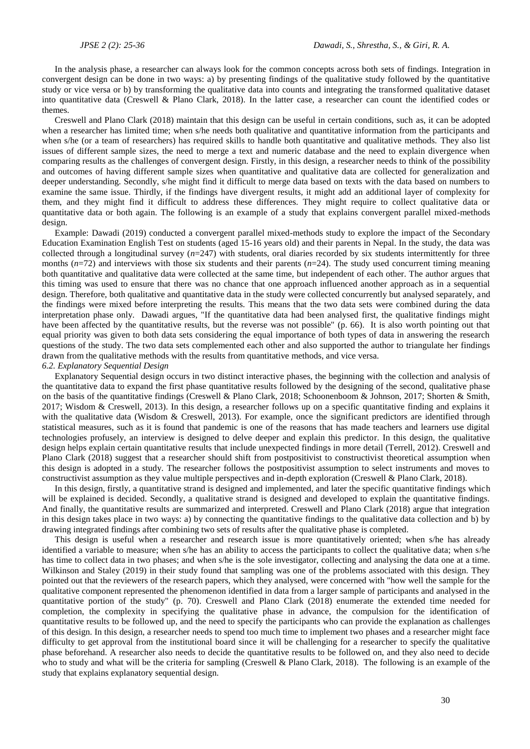In the analysis phase, a researcher can always look for the common concepts across both sets of findings. Integration in convergent design can be done in two ways: a) by presenting findings of the qualitative study followed by the quantitative study or vice versa or b) by transforming the qualitative data into counts and integrating the transformed qualitative dataset into quantitative data (Creswell & Plano Clark, 2018). In the latter case, a researcher can count the identified codes or themes.

Creswell and Plano Clark (2018) maintain that this design can be useful in certain conditions, such as, it can be adopted when a researcher has limited time; when s/he needs both qualitative and quantitative information from the participants and when s/he (or a team of researchers) has required skills to handle both quantitative and qualitative methods. They also list issues of different sample sizes, the need to merge a text and numeric database and the need to explain divergence when comparing results as the challenges of convergent design. Firstly, in this design, a researcher needs to think of the possibility and outcomes of having different sample sizes when quantitative and qualitative data are collected for generalization and deeper understanding. Secondly, s/he might find it difficult to merge data based on texts with the data based on numbers to examine the same issue. Thirdly, if the findings have divergent results, it might add an additional layer of complexity for them, and they might find it difficult to address these differences. They might require to collect qualitative data or quantitative data or both again. The following is an example of a study that explains convergent parallel mixed-methods design.

Example: Dawadi (2019) conducted a convergent parallel mixed-methods study to explore the impact of the Secondary Education Examination English Test on students (aged 15-16 years old) and their parents in Nepal. In the study, the data was collected through a longitudinal survey  $(n=247)$  with students, oral diaries recorded by six students intermittently for three months (*n*=72) and interviews with those six students and their parents (*n*=24). The study used concurrent timing meaning both quantitative and qualitative data were collected at the same time, but independent of each other. The author argues that this timing was used to ensure that there was no chance that one approach influenced another approach as in a sequential design. Therefore, both qualitative and quantitative data in the study were collected concurrently but analysed separately, and the findings were mixed before interpreting the results. This means that the two data sets were combined during the data interpretation phase only. Dawadi argues, "If the quantitative data had been analysed first, the qualitative findings might have been affected by the quantitative results, but the reverse was not possible" (p. 66). It is also worth pointing out that equal priority was given to both data sets considering the equal importance of both types of data in answering the research questions of the study. The two data sets complemented each other and also supported the author to triangulate her findings drawn from the qualitative methods with the results from quantitative methods, and vice versa. *6.2. Explanatory Sequential Design* 

Explanatory Sequential design occurs in two distinct interactive phases, the beginning with the collection and analysis of the quantitative data to expand the first phase quantitative results followed by the designing of the second, qualitative phase on the basis of the quantitative findings (Creswell & Plano Clark, 2018; Schoonenboom & Johnson, 2017; Shorten & Smith,  $2017$ ; Wisdom & Creswell, 2013). In this design, a researcher follows up on a specific quantitative finding and explains it with the qualitative data (Wisdom & Creswell, 2013). For example, once the significant predictors are identified through statistical measures, such as it is found that pandemic is one of the reasons that has made teachers and learners use digital technologies profusely, an interview is designed to delve deeper and explain this predictor. In this design, the qualitative design helps explain certain quantitative results that include unexpected findings in more detail (Terrell, 2012). Creswell and Plano Clark (2018) suggest that a researcher should shift from postpositivist to constructivist theoretical assumption when this design is adopted in a study. The researcher follows the postpositivist assumption to select instruments and moves to constructivist assumption as they value multiple perspectives and in-depth exploration (Creswell & Plano Clark, 2018).

In this design, firstly, a quantitative strand is designed and implemented, and later the specific quantitative findings which will be explained is decided. Secondly, a qualitative strand is designed and developed to explain the quantitative findings. And finally, the quantitative results are summarized and interpreted. Creswell and Plano Clark (2018) argue that integration in this design takes place in two ways: a) by connecting the quantitative findings to the qualitative data collection and b) by drawing integrated findings after combining two sets of results after the qualitative phase is completed.

This design is useful when a researcher and research issue is more quantitatively oriented; when s/he has already identified a variable to measure; when s/he has an ability to access the participants to collect the qualitative data; when s/he has time to collect data in two phases; and when s/he is the sole investigator, collecting and analysing the data one at a time. Wilkinson and Staley (2019) in their study found that sampling was one of the problems associated with this design. They pointed out that the reviewers of the research papers, which they analysed, were concerned with "how well the sample for the qualitative component represented the phenomenon identified in data from a larger sample of participants and analysed in the quantitative portion of the study" (p. 70). Creswell and Plano Clark (2018) enumerate the extended time needed for completion, the complexity in specifying the qualitative phase in advance, the compulsion for the identification of quantitative results to be followed up, and the need to specify the participants who can provide the explanation as challenges of this design. In this design, a researcher needs to spend too much time to implement two phases and a researcher might face difficulty to get approval from the institutional board since it will be challenging for a researcher to specify the qualitative phase beforehand. A researcher also needs to decide the quantitative results to be followed on, and they also need to decide who to study and what will be the criteria for sampling (Creswell & Plano Clark, 2018). The following is an example of the study that explains explanatory sequential design.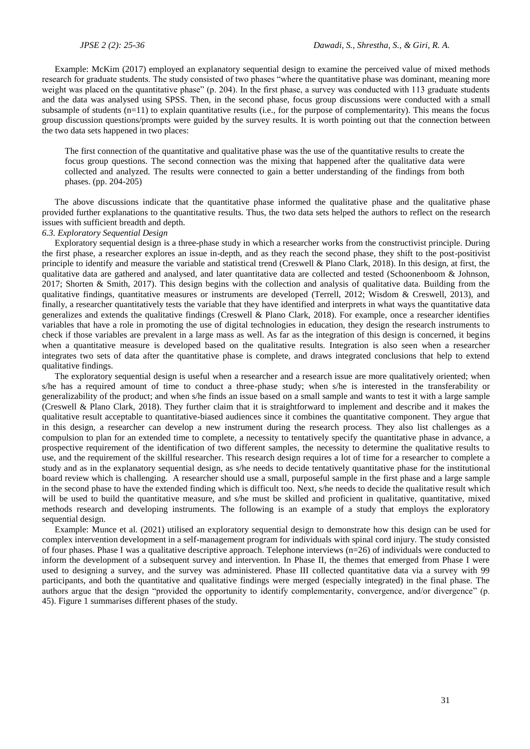Example: McKim (2017) employed an explanatory sequential design to examine the perceived value of mixed methods research for graduate students. The study consisted of two phases "where the quantitative phase was dominant, meaning more weight was placed on the quantitative phase" (p. 204). In the first phase, a survey was conducted with 113 graduate students and the data was analysed using SPSS. Then, in the second phase, focus group discussions were conducted with a small subsample of students  $(n=11)$  to explain quantitative results (i.e., for the purpose of complementarity). This means the focus group discussion questions/prompts were guided by the survey results. It is worth pointing out that the connection between the two data sets happened in two places:

The first connection of the quantitative and qualitative phase was the use of the quantitative results to create the focus group questions. The second connection was the mixing that happened after the qualitative data were collected and analyzed. The results were connected to gain a better understanding of the findings from both phases. (pp. 204-205)

The above discussions indicate that the quantitative phase informed the qualitative phase and the qualitative phase provided further explanations to the quantitative results. Thus, the two data sets helped the authors to reflect on the research issues with sufficient breadth and depth.

# *6.3. Exploratory Sequential Design*

Exploratory sequential design is a three-phase study in which a researcher works from the constructivist principle. During the first phase, a researcher explores an issue in-depth, and as they reach the second phase, they shift to the post-positivist principle to identify and measure the variable and statistical trend (Creswell & Plano Clark, 2018). In this design, at first, the qualitative data are gathered and analysed, and later quantitative data are collected and tested (Schoonenboom & Johnson, 2017; Shorten & Smith, 2017). This design begins with the collection and analysis of qualitative data. Building from the qualitative findings, quantitative measures or instruments are developed (Terrell, 2012; Wisdom & Creswell, 2013), and finally, a researcher quantitatively tests the variable that they have identified and interprets in what ways the quantitative data generalizes and extends the qualitative findings (Creswell & Plano Clark, 2018). For example, once a researcher identifies variables that have a role in promoting the use of digital technologies in education, they design the research instruments to check if those variables are prevalent in a large mass as well. As far as the integration of this design is concerned, it begins when a quantitative measure is developed based on the qualitative results. Integration is also seen when a researcher integrates two sets of data after the quantitative phase is complete, and draws integrated conclusions that help to extend qualitative findings.

The exploratory sequential design is useful when a researcher and a research issue are more qualitatively oriented; when s/he has a required amount of time to conduct a three-phase study; when s/he is interested in the transferability or generalizability of the product; and when s/he finds an issue based on a small sample and wants to test it with a large sample (Creswell & Plano Clark, 2018). They further claim that it is straightforward to implement and describe and it makes the qualitative result acceptable to quantitative-biased audiences since it combines the quantitative component. They argue that in this design, a researcher can develop a new instrument during the research process. They also list challenges as a compulsion to plan for an extended time to complete, a necessity to tentatively specify the quantitative phase in advance, a prospective requirement of the identification of two different samples, the necessity to determine the qualitative results to use, and the requirement of the skillful researcher. This research design requires a lot of time for a researcher to complete a study and as in the explanatory sequential design, as s/he needs to decide tentatively quantitative phase for the institutional board review which is challenging. A researcher should use a small, purposeful sample in the first phase and a large sample in the second phase to have the extended finding which is difficult too. Next, s/he needs to decide the qualitative result which will be used to build the quantitative measure, and s/he must be skilled and proficient in qualitative, quantitative, mixed methods research and developing instruments. The following is an example of a study that employs the exploratory sequential design.

Example: Munce et al. (2021) utilised an exploratory sequential design to demonstrate how this design can be used for complex intervention development in a self-management program for individuals with spinal cord injury. The study consisted of four phases. Phase I was a qualitative descriptive approach. Telephone interviews (n=26) of individuals were conducted to inform the development of a subsequent survey and intervention. In Phase II, the themes that emerged from Phase I were used to designing a survey, and the survey was administered. Phase III collected quantitative data via a survey with 99 participants, and both the quantitative and qualitative findings were merged (especially integrated) in the final phase. The authors argue that the design "provided the opportunity to identify complementarity, convergence, and/or divergence" (p. 45). Figure 1 summarises different phases of the study.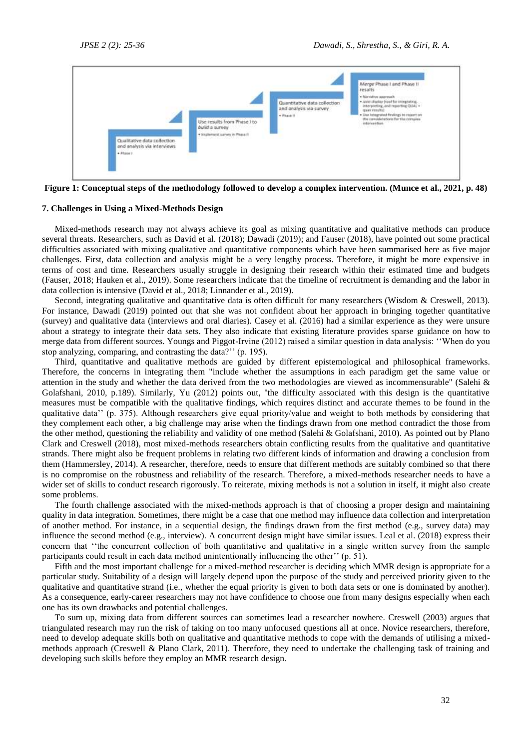

**Figure 1: Conceptual steps of the methodology followed to develop a complex intervention. (Munce et al., 2021, p. 48)**

### **7. Challenges in Using a Mixed-Methods Design**

Mixed-methods research may not always achieve its goal as mixing quantitative and qualitative methods can produce several threats. Researchers, such as David et al. (2018); Dawadi (2019); and Fauser (2018), have pointed out some practical difficulties associated with mixing qualitative and quantitative components which have been summarised here as five major challenges. First, data collection and analysis might be a very lengthy process. Therefore, it might be more expensive in terms of cost and time. Researchers usually struggle in designing their research within their estimated time and budgets (Fauser, 2018; Hauken et al., 2019). Some researchers indicate that the timeline of recruitment is demanding and the labor in data collection is intensive (David et al., 2018; Linnander et al., 2019).

Second, integrating qualitative and quantitative data is often difficult for many researchers (Wisdom & Creswell, 2013). For instance, Dawadi (2019) pointed out that she was not confident about her approach in bringing together quantitative (survey) and qualitative data (interviews and oral diaries). Casey et al. (2016) had a similar experience as they were unsure about a strategy to integrate their data sets. They also indicate that existing literature provides sparse guidance on how to merge data from different sources. Youngs and Piggot-Irvine (2012) raised a similar question in data analysis: ''When do you stop analyzing, comparing, and contrasting the data?'' (p. 195).

Third, quantitative and qualitative methods are guided by different epistemological and philosophical frameworks. Therefore, the concerns in integrating them "include whether the assumptions in each paradigm get the same value or attention in the study and whether the data derived from the two methodologies are viewed as incommensurable" (Salehi & Golafshani, 2010, p.189). Similarly, Yu (2012) points out, ''the difficulty associated with this design is the quantitative measures must be compatible with the qualitative findings, which requires distinct and accurate themes to be found in the qualitative data'' (p. 375). Although researchers give equal priority/value and weight to both methods by considering that they complement each other, a big challenge may arise when the findings drawn from one method contradict the those from the other method, questioning the reliability and validity of one method (Salehi & Golafshani, 2010). As pointed out by Plano Clark and Creswell (2018), most mixed-methods researchers obtain conflicting results from the qualitative and quantitative strands. There might also be frequent problems in relating two different kinds of information and drawing a conclusion from them (Hammersley, 2014). A researcher, therefore, needs to ensure that different methods are suitably combined so that there is no compromise on the robustness and reliability of the research. Therefore, a mixed-methods researcher needs to have a wider set of skills to conduct research rigorously. To reiterate, mixing methods is not a solution in itself, it might also create some problems.

The fourth challenge associated with the mixed-methods approach is that of choosing a proper design and maintaining quality in data integration. Sometimes, there might be a case that one method may influence data collection and interpretation of another method. For instance, in a sequential design, the findings drawn from the first method (e.g., survey data) may influence the second method (e.g., interview). A concurrent design might have similar issues. Leal et al. (2018) express their concern that ''the concurrent collection of both quantitative and qualitative in a single written survey from the sample participants could result in each data method unintentionally influencing the other'' (p. 51).

Fifth and the most important challenge for a mixed-method researcher is deciding which MMR design is appropriate for a particular study. Suitability of a design will largely depend upon the purpose of the study and perceived priority given to the qualitative and quantitative strand (i.e., whether the equal priority is given to both data sets or one is dominated by another). As a consequence, early-career researchers may not have confidence to choose one from many designs especially when each one has its own drawbacks and potential challenges.

To sum up, mixing data from different sources can sometimes lead a researcher nowhere. Creswell (2003) argues that triangulated research may run the risk of taking on too many unfocused questions all at once. Novice researchers, therefore, need to develop adequate skills both on qualitative and quantitative methods to cope with the demands of utilising a mixedmethods approach (Creswell & Plano Clark, 2011). Therefore, they need to undertake the challenging task of training and developing such skills before they employ an MMR research design.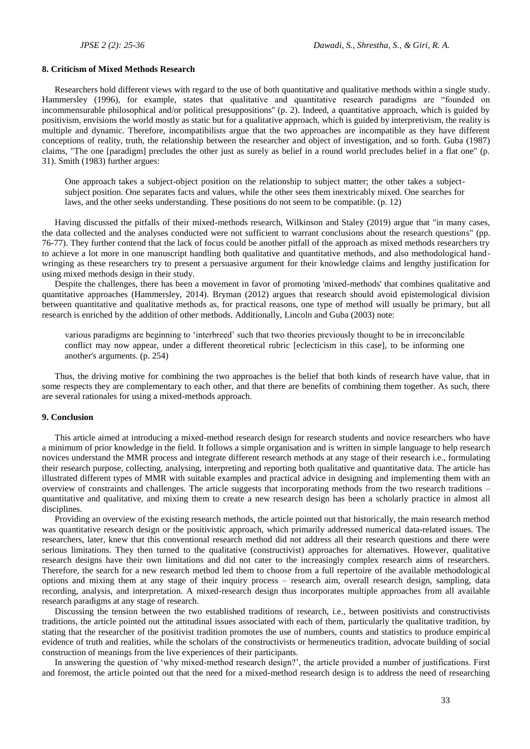# **8. Criticism of Mixed Methods Research**

Researchers hold different views with regard to the use of both quantitative and qualitative methods within a single study. Hammersley (1996), for example, states that qualitative and quantitative research paradigms are "founded on incommensurable philosophical and/or political presuppositions'' (p. 2). Indeed, a quantitative approach, which is guided by positivism, envisions the world mostly as static but for a qualitative approach, which is guided by interpretivism, the reality is multiple and dynamic. Therefore, incompatibilists argue that the two approaches are incompatible as they have different conceptions of reality, truth, the relationship between the researcher and object of investigation, and so forth. Guba (1987) claims, "The one [paradigm] precludes the other just as surely as belief in a round world precludes belief in a flat one" (p. 31). Smith (1983) further argues:

One approach takes a subject-object position on the relationship to subject matter; the other takes a subjectsubject position. One separates facts and values, while the other sees them inextricably mixed. One searches for laws, and the other seeks understanding. These positions do not seem to be compatible. (p. 12)

Having discussed the pitfalls of their mixed-methods research, Wilkinson and Staley (2019) argue that "in many cases, the data collected and the analyses conducted were not sufficient to warrant conclusions about the research questions" (pp. 76-77). They further contend that the lack of focus could be another pitfall of the approach as mixed methods researchers try to achieve a lot more in one manuscript handling both qualitative and quantitative methods, and also methodological handwringing as these researchers try to present a persuasive argument for their knowledge claims and lengthy justification for using mixed methods design in their study.

Despite the challenges, there has been a movement in favor of promoting 'mixed-methods' that combines qualitative and quantitative approaches (Hammersley, 2014). Bryman (2012) argues that research should avoid epistemological division between quantitative and qualitative methods as, for practical reasons, one type of method will usually be primary, but all research is enriched by the addition of other methods. Additionally, Lincoln and Guba (2003) note:

various paradigms are beginning to 'interbreed' such that two theories previously thought to be in irreconcilable conflict may now appear, under a different theoretical rubric [eclecticism in this case], to be informing one another's arguments. (p. 254)

Thus, the driving motive for combining the two approaches is the belief that both kinds of research have value, that in some respects they are complementary to each other, and that there are benefits of combining them together. As such, there are several rationales for using a mixed-methods approach.

## **9. Conclusion**

This article aimed at introducing a mixed-method research design for research students and novice researchers who have a minimum of prior knowledge in the field. It follows a simple organisation and is written in simple language to help research novices understand the MMR process and integrate different research methods at any stage of their research i.e., formulating their research purpose, collecting, analysing, interpreting and reporting both qualitative and quantitative data. The article has illustrated different types of MMR with suitable examples and practical advice in designing and implementing them with an overview of constraints and challenges. The article suggests that incorporating methods from the two research traditions – quantitative and qualitative, and mixing them to create a new research design has been a scholarly practice in almost all disciplines.

Providing an overview of the existing research methods, the article pointed out that historically, the main research method was quantitative research design or the positivistic approach, which primarily addressed numerical data-related issues. The researchers, later, knew that this conventional research method did not address all their research questions and there were serious limitations. They then turned to the qualitative (constructivist) approaches for alternatives. However, qualitative research designs have their own limitations and did not cater to the increasingly complex research aims of researchers. Therefore, the search for a new research method led them to choose from a full repertoire of the available methodological options and mixing them at any stage of their inquiry process – research aim, overall research design, sampling, data recording, analysis, and interpretation. A mixed-research design thus incorporates multiple approaches from all available research paradigms at any stage of research.

Discussing the tension between the two established traditions of research, i.e., between positivists and constructivists traditions, the article pointed out the attitudinal issues associated with each of them, particularly the qualitative tradition, by stating that the researcher of the positivist tradition promotes the use of numbers, counts and statistics to produce empirical evidence of truth and realities, while the scholars of the constructivists or hermeneutics tradition, advocate building of social construction of meanings from the live experiences of their participants.

In answering the question of 'why mixed-method research design?', the article provided a number of justifications. First and foremost, the article pointed out that the need for a mixed-method research design is to address the need of researching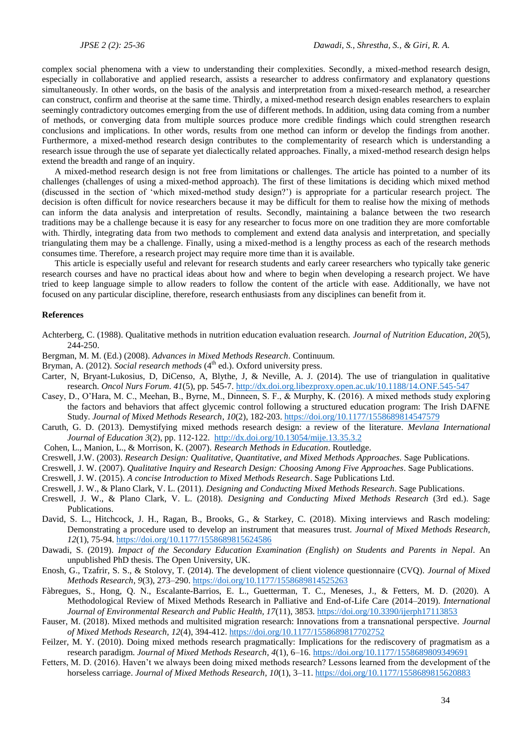complex social phenomena with a view to understanding their complexities. Secondly, a mixed-method research design, especially in collaborative and applied research, assists a researcher to address confirmatory and explanatory questions simultaneously. In other words, on the basis of the analysis and interpretation from a mixed-research method, a researcher can construct, confirm and theorise at the same time. Thirdly, a mixed-method research design enables researchers to explain seemingly contradictory outcomes emerging from the use of different methods. In addition, using data coming from a number of methods, or converging data from multiple sources produce more credible findings which could strengthen research conclusions and implications. In other words, results from one method can inform or develop the findings from another. Furthermore, a mixed-method research design contributes to the complementarity of research which is understanding a research issue through the use of separate yet dialectically related approaches. Finally, a mixed-method research design helps extend the breadth and range of an inquiry.

A mixed-method research design is not free from limitations or challenges. The article has pointed to a number of its challenges (challenges of using a mixed-method approach). The first of these limitations is deciding which mixed method (discussed in the section of 'which mixed-method study design?') is appropriate for a particular research project. The decision is often difficult for novice researchers because it may be difficult for them to realise how the mixing of methods can inform the data analysis and interpretation of results. Secondly, maintaining a balance between the two research traditions may be a challenge because it is easy for any researcher to focus more on one tradition they are more comfortable with. Thirdly, integrating data from two methods to complement and extend data analysis and interpretation, and specially triangulating them may be a challenge. Finally, using a mixed-method is a lengthy process as each of the research methods consumes time. Therefore, a research project may require more time than it is available.

This article is especially useful and relevant for research students and early career researchers who typically take generic research courses and have no practical ideas about how and where to begin when developing a research project. We have tried to keep language simple to allow readers to follow the content of the article with ease. Additionally, we have not focused on any particular discipline, therefore, research enthusiasts from any disciplines can benefit from it.

# **References**

- Achterberg, C. (1988). Qualitative methods in nutrition education evaluation research. *Journal of Nutrition Education*, *20*(5), 244-250.
- Bergman, M. M. (Ed.) (2008). *Advances in Mixed Methods Research*. Continuum.
- Bryman, A. (2012). *Social research methods* (4<sup>th</sup> ed.). Oxford university press.
- Carter, N, Bryant-Lukosius, D, DiCenso, A, Blythe, J, & Neville, A. J. (2014). The use of triangulation in qualitative research. *Oncol Nurs Forum*. *41*(5), pp. 545-7.<http://dx.doi.org.libezproxy.open.ac.uk/10.1188/14.ONF.545-547>
- Casey, D., O'Hara, M. C., Meehan, B., Byrne, M., Dinneen, S. F., & Murphy, K. (2016). A mixed methods study exploring the factors and behaviors that affect glycemic control following a structured education program: The Irish DAFNE Study. *Journal of Mixed Methods Research*, *10*(2), 182-203[. https://doi.org/10.1177/1558689814547579](https://doi.org/10.1177/1558689814547579)
- Caruth, G. D. (2013). Demystifying mixed methods research design: a review of the literature. *Mevlana International Journal of Education 3*(2), pp. 112-122.<http://dx.doi.org/10.13054/mije.13.35.3.2>
- Cohen, L., Manion, L., & Morrison, K. (2007). *Research Methods in Education*. Routledge.
- Creswell, J.W. (2003). *Research Design: Qualitative, Quantitative, and Mixed Methods Approaches.* Sage Publications.
- Creswell, J. W. (2007). *Qualitative Inquiry and Research Design: Choosing Among Five Approaches*. Sage Publications.
- Creswell, J. W. (2015). *A concise Introduction to Mixed Methods Research*. Sage Publications Ltd.
- Creswell, J. W., & Plano Clark, V. L. (2011). *Designing and Conducting Mixed Methods Research*. Sage Publications.
- Creswell, J. W., & Plano Clark, V. L. (2018). *Designing and Conducting Mixed Methods Research* (3rd ed.). Sage Publications.
- David, S. L., Hitchcock, J. H., Ragan, B., Brooks, G., & Starkey, C. (2018). Mixing interviews and Rasch modeling: Demonstrating a procedure used to develop an instrument that measures trust. *Journal of Mixed Methods Research, 12*(1), 75-94[. https://doi.org/10.1177/1558689815624586](https://doi.org/10.1177/1558689815624586)
- Dawadi, S. (2019). *Impact of the Secondary Education Examination (English) on Students and Parents in Nepal*. An unpublished PhD thesis. The Open University, UK.
- Enosh, G., Tzafrir, S. S., & Stolovy, T. (2014). The development of client violence questionnaire (CVQ). *Journal of Mixed Methods Research*, *9*(3), 273–290[. https://doi.org/10.1177/1558689814525263](https://doi.org/10.1177/1558689814525263)
- Fàbregues, S., Hong, Q. N., Escalante-Barrios, E. L., Guetterman, T. C., Meneses, J., & Fetters, M. D. (2020). A Methodological Review of Mixed Methods Research in Palliative and End-of-Life Care (2014–2019). *International Journal of Environmental Research and Public Health, 17*(11), 3853.<https://doi.org/10.3390/ijerph17113853>
- Fauser, M. (2018). Mixed methods and multisited migration research: Innovations from a transnational perspective. *Journal of Mixed Methods Research, 12*(4), 394-412[. https://doi.org/10.1177/1558689817702752](https://doi.org/10.1177/1558689817702752)
- Feilzer, M. Y. (2010). Doing mixed methods research pragmatically: Implications for the rediscovery of pragmatism as a research paradigm. *Journal of Mixed Methods Research*, *4*(1), 6–16[. https://doi.org/10.1177/1558689809349691](https://doi.org/10.1177/1558689809349691)
- Fetters, M. D. (2016). Haven't we always been doing mixed methods research? Lessons learned from the development of the horseless carriage. *Journal of Mixed Methods Research*, *10*(1), 3–11. <https://doi.org/10.1177/1558689815620883>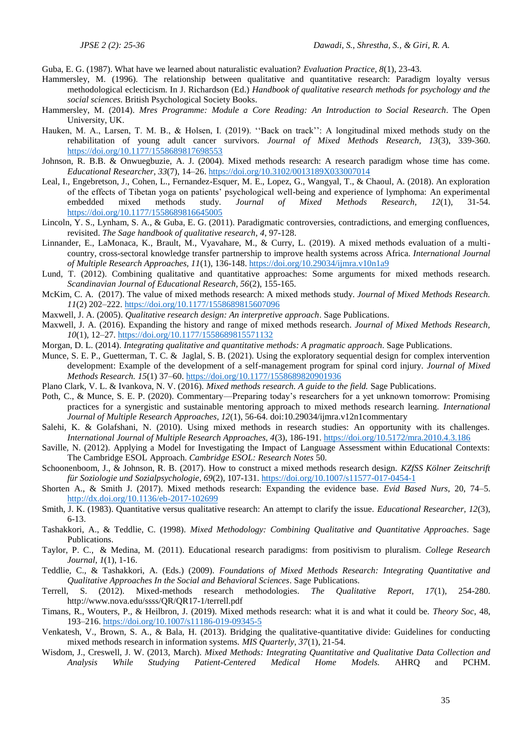Guba, E. G. (1987). What have we learned about naturalistic evaluation? *Evaluation Practice, 8*(1), 23-43.

- Hammersley, M. (1996). The relationship between qualitative and quantitative research: Paradigm loyalty versus methodological eclecticism. In J. Richardson (Ed.) *Handbook of qualitative research methods for psychology and the social sciences*. British Psychological Society Books.
- Hammersley, M. (2014). *Mres Programme: Module a Core Reading: An Introduction to Social Research*. The Open University, UK.
- Hauken, M. A., Larsen, T. M. B., & Holsen, I. (2019). ''Back on track'': A longitudinal mixed methods study on the rehabilitation of young adult cancer survivors. *Journal of Mixed Methods Research, 13*(3), 339-360. <https://doi.org/10.1177/1558689817698553>
- Johnson, R. B.B. & Onwuegbuzie, A. J. (2004). Mixed methods research: A research paradigm whose time has come. *Educational Researcher*, *33*(7), 14–26.<https://doi.org/10.3102/0013189X033007014>
- Leal, I., Engebretson, J., Cohen, L., Fernandez-Esquer, M. E., Lopez, G., Wangyal, T., & Chaoul, A. (2018). An exploration of the effects of Tibetan yoga on patients' psychological well-being and experience of lymphoma: An experimental embedded mixed methods study. *Journal of Mixed Methods Research, 12*(1), 31-54. <https://doi.org/10.1177/1558689816645005>
- Lincoln, Y. S., Lynham, S. A., & Guba, E. G. (2011). Paradigmatic controversies, contradictions, and emerging confluences, revisited. *The Sage handbook of qualitative research*, *4*, 97-128.
- Linnander, E., LaMonaca, K., Brault, M., Vyavahare, M., & Curry, L. (2019). A mixed methods evaluation of a multicountry, cross-sectoral knowledge transfer partnership to improve health systems across Africa. *International Journal of Multiple Research Approaches, 11*(1), 136-148. <https://doi.org/10.29034/ijmra.v10n1a9>
- Lund, T. (2012). Combining qualitative and quantitative approaches: Some arguments for mixed methods research. *Scandinavian Journal of Educational Research, 56*(2), 155-165.
- McKim, C. A. (2017). The value of mixed methods research: A mixed methods study. *Journal of Mixed Methods Research. 11*(2) 202–222. [https://doi.org/10.1177/1558689815607096](https://doi.org/10.1177%2F1558689815607096)
- Maxwell, J. A. (2005). *Qualitative research design: An interpretive approach*. Sage Publications.
- Maxwell, J. A. (2016). Expanding the history and range of mixed methods research. *Journal of Mixed Methods Research, 10*(1), 12–27. [https://doi.org/10.1177/1558689815571132](https://doi.org/10.1177%2F1558689815571132)
- Morgan, D. L. (2014). *Integrating qualitative and quantitative methods: A pragmatic approach*. Sage Publications.
- Munce, S. E. P., Guetterman, T. C. & Jaglal, S. B. (2021). Using the exploratory sequential design for complex intervention development: Example of the development of a self-management program for spinal cord injury. *Journal of Mixed Methods Research. 15*(1) 37–60. [https://doi.org/10.1177/1558689820901936](https://doi.org/10.1177%2F1558689820901936)
- Plano Clark, V. L. & Ivankova, N. V. (2016). *Mixed methods research. A guide to the field.* Sage Publications.
- Poth, C., & Munce, S. E. P. (2020). Commentary—Preparing today's researchers for a yet unknown tomorrow: Promising practices for a synergistic and sustainable mentoring approach to mixed methods research learning. *International Journal of Multiple Research Approaches, 12*(1), 56-64. doi:10.29034/ijmra.v12n1commentary
- Salehi, K. & Golafshani, N. (2010). Using mixed methods in research studies: An opportunity with its challenges. *International Journal of Multiple Research Approaches, 4*(3), 186-191[. https://doi.org/10.5172/mra.2010.4.3.186](https://doi.org/10.5172/mra.2010.4.3.186)
- Saville, N. (2012). Applying a Model for Investigating the Impact of Language Assessment within Educational Contexts: The Cambridge ESOL Approach. *Cambridge ESOL: Research Notes* 50.
- Schoonenboom, J., & Johnson, R. B. (2017). How to construct a mixed methods research design. *KZfSS Kölner Zeitschrift für Soziologie und Sozialpsychologie*, *69*(2), 107-131[. https://doi.org/10.1007/s11577-017-0454-1](https://doi.org/10.1007/s11577-017-0454-1)
- Shorten A., & Smith J. (2017). Mixed methods research: Expanding the evidence base. *Evid Based Nurs*, 20, 74–5. <http://dx.doi.org/10.1136/eb-2017-102699>
- Smith, J. K. (1983). Quantitative versus qualitative research: An attempt to clarify the issue. *Educational Researcher, 12*(3), 6-13.
- Tashakkori, A., & Teddlie, C. (1998). *Mixed Methodology: Combining Qualitative and Quantitative Approaches*. Sage Publications.
- Taylor, P. C., & Medina, M. (2011). Educational research paradigms: from positivism to pluralism. *College Research Journal*, *1*(1), 1-16.
- Teddlie, C., & Tashakkori, A. (Eds.) (2009). *Foundations of Mixed Methods Research: Integrating Quantitative and Qualitative Approaches In the Social and Behavioral Sciences*. Sage Publications.
- Terrell, S. (2012). Mixed-methods research methodologies. *The Qualitative Report, 17*(1), 254-280. http://www.nova.edu/ssss/QR/QR17-1/terrell.pdf
- Timans, R., Wouters, P., & Heilbron, J. (2019). Mixed methods research: what it is and what it could be. *Theory Soc*, 48, 193–216[. https://doi.org/10.1007/s11186-019-09345-5](https://doi.org/10.1007/s11186-019-09345-5)
- Venkatesh, V., Brown, S. A., & Bala, H. (2013). Bridging the qualitative-quantitative divide: Guidelines for conducting mixed methods research in information systems. *MIS Quarterly, 37*(1), 21-54.
- Wisdom, J., Creswell, J. W. (2013, March). *Mixed Methods: Integrating Quantitative and Qualitative Data Collection and Analysis While Studying Patient-Centered Medical Home Models.* AHRQ and PCHM.